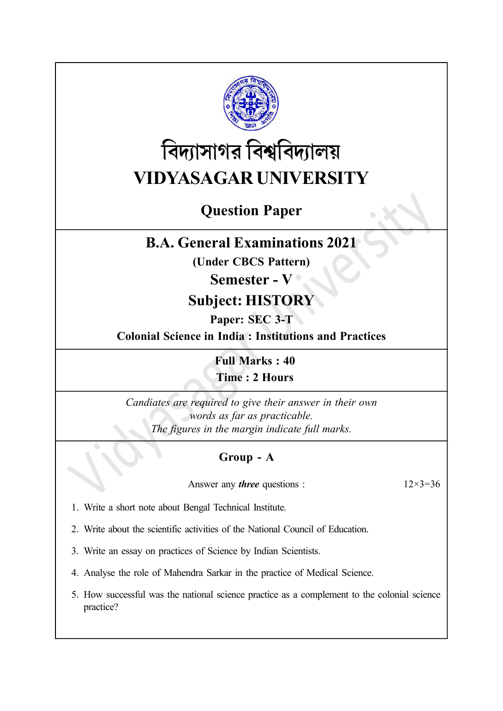

# বিদ্যাসাগর বিশ্ববিদ্যালয় VIDYASAGAR UNIVERSITY

# Question Paper

# B.A. General Examinations 2021

(Under CBCS Pattern)

## Semester - V

# Subject: HISTORY

Paper: SEC 3-T

Colonial Science in India : Institutions and Practices

Full Marks : 40 Time : 2 Hours

Candiates are required to give their answer in their own words as far as practicable. The figures in the margin indicate full marks.

## Group - A

Answer any *three* questions :  $12 \times 3 = 36$ 

1. Write a short note about Bengal Technical Institute.

2. Write about the scientific activities of the National Council of Education.

3. Write an essay on practices of Science by Indian Scientists.

4. Analyse the role of Mahendra Sarkar in the practice of Medical Science.

5. How successful was the national science practice as a complement to the colonial science practice?